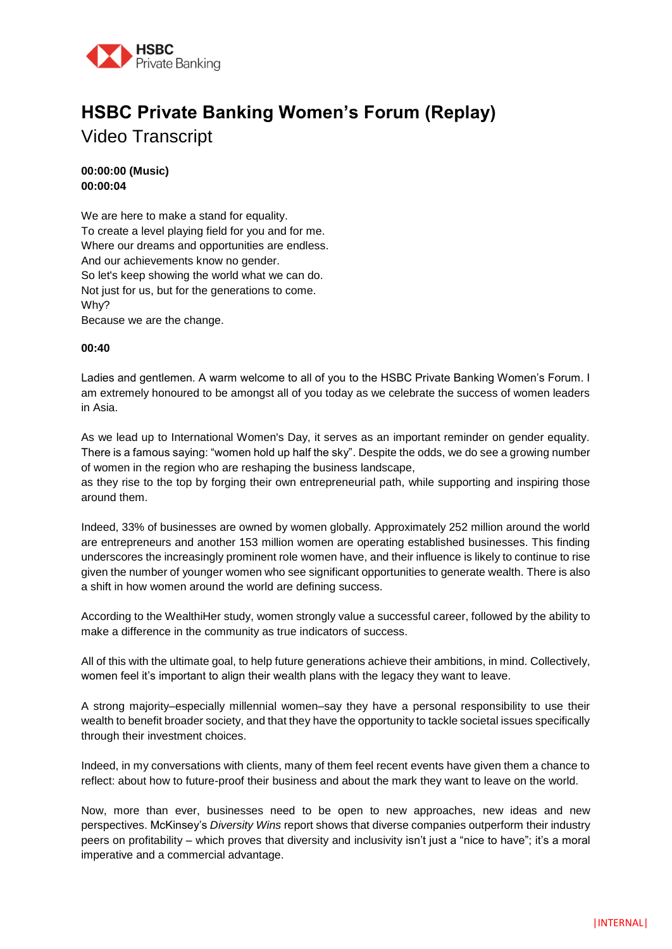

# **HSBC Private Banking Women's Forum (Replay)**  Video Transcript

**00:00:00 (Music) 00:00:04**

We are here to make a stand for equality. To create a level playing field for you and for me. Where our dreams and opportunities are endless. And our achievements know no gender. So let's keep showing the world what we can do. Not just for us, but for the generations to come. Why? Because we are the change.

# **00:40**

Ladies and gentlemen. A warm welcome to all of you to the HSBC Private Banking Women's Forum. I am extremely honoured to be amongst all of you today as we celebrate the success of women leaders in Asia.

As we lead up to International Women's Day, it serves as an important reminder on gender equality. There is a famous saying: "women hold up half the sky". Despite the odds, we do see a growing number of women in the region who are reshaping the business landscape,

as they rise to the top by forging their own entrepreneurial path, while supporting and inspiring those around them.

Indeed, 33% of businesses are owned by women globally. Approximately 252 million around the world are entrepreneurs and another 153 million women are operating established businesses. This finding underscores the increasingly prominent role women have, and their influence is likely to continue to rise given the number of younger women who see significant opportunities to generate wealth. There is also a shift in how women around the world are defining success.

According to the WealthiHer study, women strongly value a successful career, followed by the ability to make a difference in the community as true indicators of success.

All of this with the ultimate goal, to help future generations achieve their ambitions, in mind. Collectively, women feel it's important to align their wealth plans with the legacy they want to leave.

A strong majority–especially millennial women–say they have a personal responsibility to use their wealth to benefit broader society, and that they have the opportunity to tackle societal issues specifically through their investment choices.

Indeed, in my conversations with clients, many of them feel recent events have given them a chance to reflect: about how to future-proof their business and about the mark they want to leave on the world.

Now, more than ever, businesses need to be open to new approaches, new ideas and new perspectives. McKinsey's *Diversity Wins* report shows that diverse companies outperform their industry peers on profitability – which proves that diversity and inclusivity isn't just a "nice to have"; it's a moral imperative and a commercial advantage.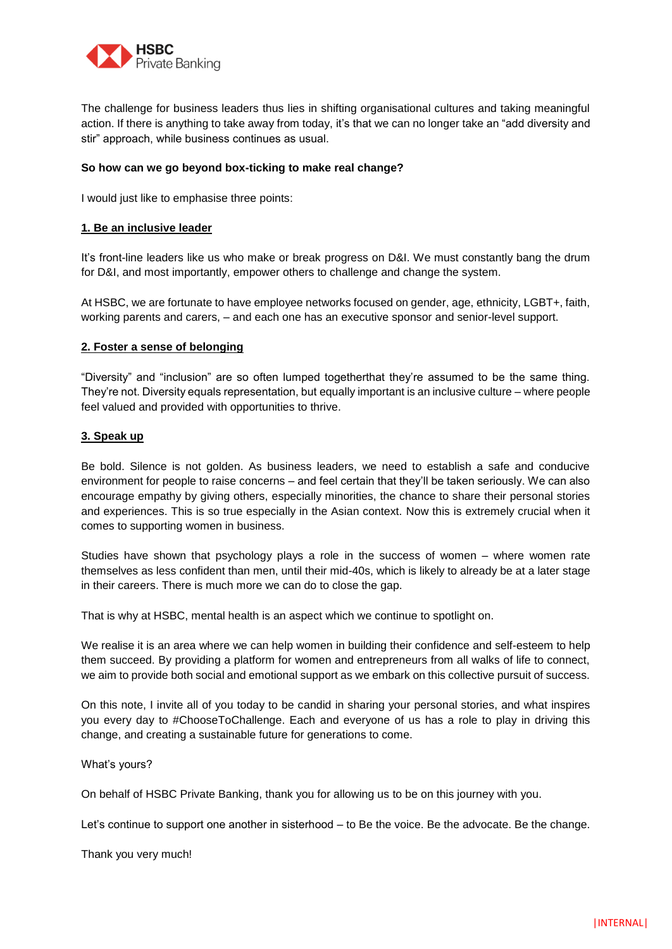

The challenge for business leaders thus lies in shifting organisational cultures and taking meaningful action. If there is anything to take away from today, it's that we can no longer take an "add diversity and stir" approach, while business continues as usual.

# **So how can we go beyond box-ticking to make real change?**

I would just like to emphasise three points:

#### **1. Be an inclusive leader**

It's front-line leaders like us who make or break progress on D&I. We must constantly bang the drum for D&I, and most importantly, empower others to challenge and change the system.

At HSBC, we are fortunate to have employee networks focused on gender, age, ethnicity, LGBT+, faith, working parents and carers, – and each one has an executive sponsor and senior-level support.

# **2. Foster a sense of belonging**

"Diversity" and "inclusion" are so often lumped togetherthat they're assumed to be the same thing. They're not. Diversity equals representation, but equally important is an inclusive culture – where people feel valued and provided with opportunities to thrive.

# **3. Speak up**

Be bold. Silence is not golden. As business leaders, we need to establish a safe and conducive environment for people to raise concerns – and feel certain that they'll be taken seriously. We can also encourage empathy by giving others, especially minorities, the chance to share their personal stories and experiences. This is so true especially in the Asian context. Now this is extremely crucial when it comes to supporting women in business.

Studies have shown that psychology plays a role in the success of women – where women rate themselves as less confident than men, until their mid-40s, which is likely to already be at a later stage in their careers. There is much more we can do to close the gap.

That is why at HSBC, mental health is an aspect which we continue to spotlight on.

We realise it is an area where we can help women in building their confidence and self-esteem to help them succeed. By providing a platform for women and entrepreneurs from all walks of life to connect, we aim to provide both social and emotional support as we embark on this collective pursuit of success.

On this note, I invite all of you today to be candid in sharing your personal stories, and what inspires you every day to #ChooseToChallenge. Each and everyone of us has a role to play in driving this change, and creating a sustainable future for generations to come.

What's yours?

On behalf of HSBC Private Banking, thank you for allowing us to be on this journey with you.

Let's continue to support one another in sisterhood – to Be the voice. Be the advocate. Be the change.

Thank you very much!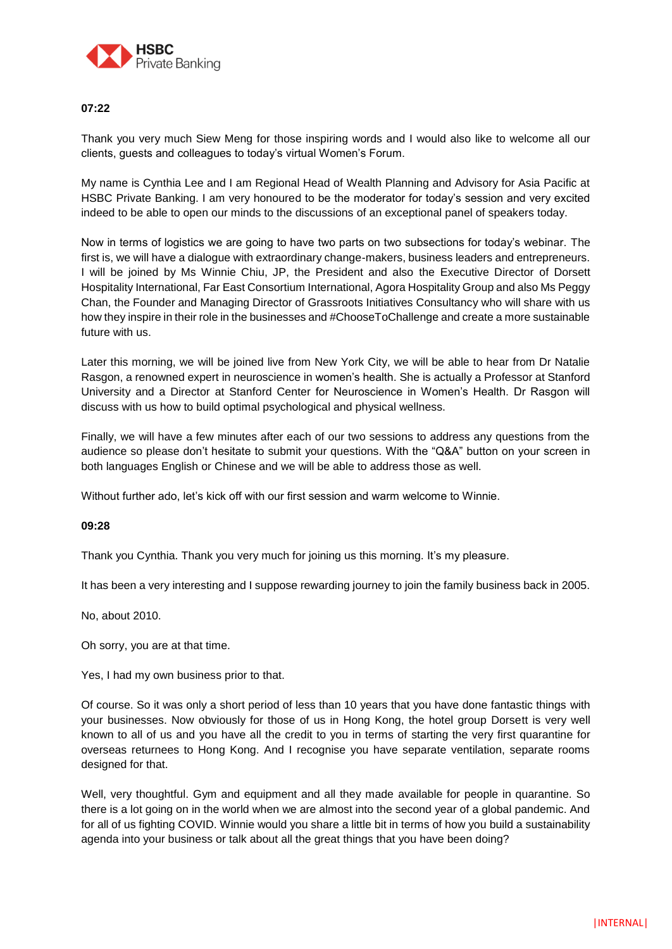

# **07:22**

Thank you very much Siew Meng for those inspiring words and I would also like to welcome all our clients, guests and colleagues to today's virtual Women's Forum.

My name is Cynthia Lee and I am Regional Head of Wealth Planning and Advisory for Asia Pacific at HSBC Private Banking. I am very honoured to be the moderator for today's session and very excited indeed to be able to open our minds to the discussions of an exceptional panel of speakers today.

Now in terms of logistics we are going to have two parts on two subsections for today's webinar. The first is, we will have a dialogue with extraordinary change-makers, business leaders and entrepreneurs. I will be joined by Ms Winnie Chiu, JP, the President and also the Executive Director of Dorsett Hospitality International, Far East Consortium International, Agora Hospitality Group and also Ms Peggy Chan, the Founder and Managing Director of Grassroots Initiatives Consultancy who will share with us how they inspire in their role in the businesses and #ChooseToChallenge and create a more sustainable future with us.

Later this morning, we will be joined live from New York City, we will be able to hear from Dr Natalie Rasgon, a renowned expert in neuroscience in women's health. She is actually a Professor at Stanford University and a Director at Stanford Center for Neuroscience in Women's Health. Dr Rasgon will discuss with us how to build optimal psychological and physical wellness.

Finally, we will have a few minutes after each of our two sessions to address any questions from the audience so please don't hesitate to submit your questions. With the "Q&A" button on your screen in both languages English or Chinese and we will be able to address those as well.

Without further ado, let's kick off with our first session and warm welcome to Winnie.

#### **09:28**

Thank you Cynthia. Thank you very much for joining us this morning. It's my pleasure.

It has been a very interesting and I suppose rewarding journey to join the family business back in 2005.

No, about 2010.

Oh sorry, you are at that time.

Yes, I had my own business prior to that.

Of course. So it was only a short period of less than 10 years that you have done fantastic things with your businesses. Now obviously for those of us in Hong Kong, the hotel group Dorsett is very well known to all of us and you have all the credit to you in terms of starting the very first quarantine for overseas returnees to Hong Kong. And I recognise you have separate ventilation, separate rooms designed for that.

Well, very thoughtful. Gym and equipment and all they made available for people in quarantine. So there is a lot going on in the world when we are almost into the second year of a global pandemic. And for all of us fighting COVID. Winnie would you share a little bit in terms of how you build a sustainability agenda into your business or talk about all the great things that you have been doing?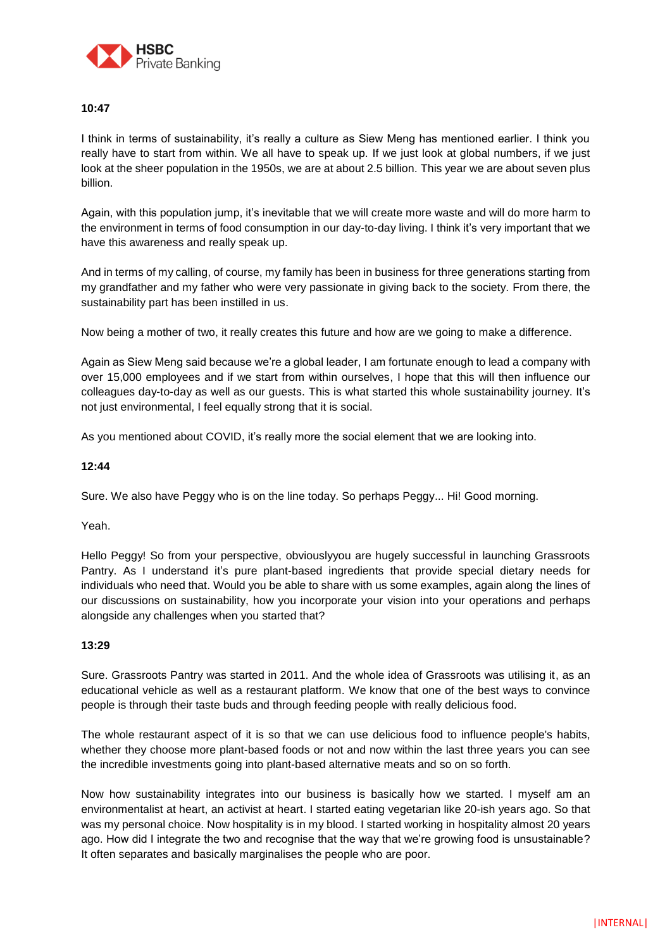

# **10:47**

I think in terms of sustainability, it's really a culture as Siew Meng has mentioned earlier. I think you really have to start from within. We all have to speak up. If we just look at global numbers, if we just look at the sheer population in the 1950s, we are at about 2.5 billion. This year we are about seven plus billion.

Again, with this population jump, it's inevitable that we will create more waste and will do more harm to the environment in terms of food consumption in our day-to-day living. I think it's very important that we have this awareness and really speak up.

And in terms of my calling, of course, my family has been in business for three generations starting from my grandfather and my father who were very passionate in giving back to the society. From there, the sustainability part has been instilled in us.

Now being a mother of two, it really creates this future and how are we going to make a difference.

Again as Siew Meng said because we're a global leader, I am fortunate enough to lead a company with over 15,000 employees and if we start from within ourselves, I hope that this will then influence our colleagues day-to-day as well as our guests. This is what started this whole sustainability journey. It's not just environmental, I feel equally strong that it is social.

As you mentioned about COVID, it's really more the social element that we are looking into.

# **12:44**

Sure. We also have Peggy who is on the line today. So perhaps Peggy... Hi! Good morning.

Yeah.

Hello Peggy! So from your perspective, obviouslyyou are hugely successful in launching Grassroots Pantry. As I understand it's pure plant-based ingredients that provide special dietary needs for individuals who need that. Would you be able to share with us some examples, again along the lines of our discussions on sustainability, how you incorporate your vision into your operations and perhaps alongside any challenges when you started that?

#### **13:29**

Sure. Grassroots Pantry was started in 2011. And the whole idea of Grassroots was utilising it, as an educational vehicle as well as a restaurant platform. We know that one of the best ways to convince people is through their taste buds and through feeding people with really delicious food.

The whole restaurant aspect of it is so that we can use delicious food to influence people's habits, whether they choose more plant-based foods or not and now within the last three years you can see the incredible investments going into plant-based alternative meats and so on so forth.

Now how sustainability integrates into our business is basically how we started. I myself am an environmentalist at heart, an activist at heart. I started eating vegetarian like 20-ish years ago. So that was my personal choice. Now hospitality is in my blood. I started working in hospitality almost 20 years ago. How did I integrate the two and recognise that the way that we're growing food is unsustainable? It often separates and basically marginalises the people who are poor.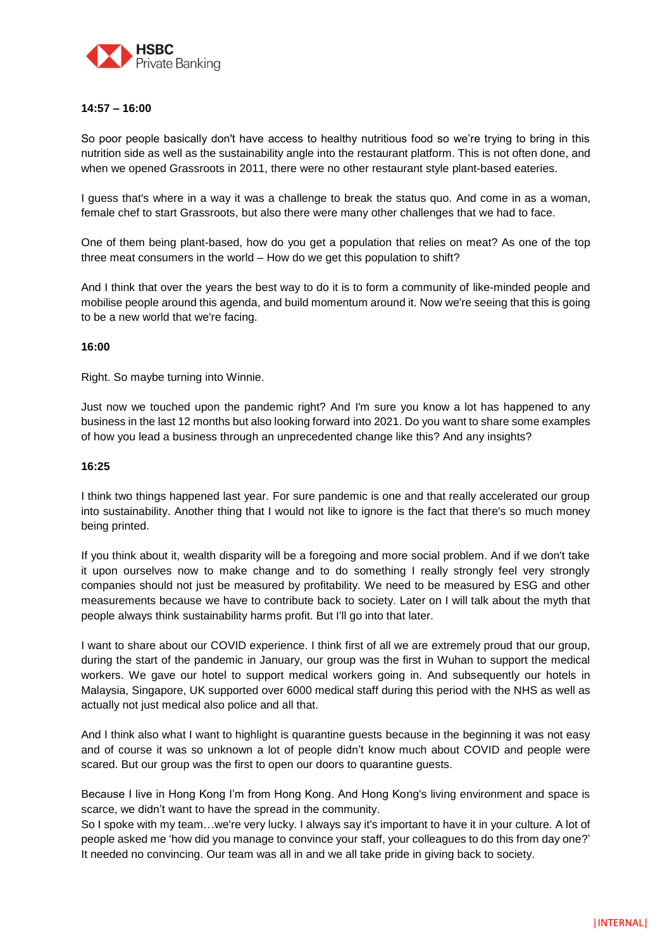

# **14:57 – 16:00**

So poor people basically don't have access to healthy nutritious food so we're trying to bring in this nutrition side as well as the sustainability angle into the restaurant platform. This is not often done, and when we opened Grassroots in 2011, there were no other restaurant style plant-based eateries.

I guess that's where in a way it was a challenge to break the status quo. And come in as a woman, female chef to start Grassroots, but also there were many other challenges that we had to face.

One of them being plant-based, how do you get a population that relies on meat? As one of the top three meat consumers in the world – How do we get this population to shift?

And I think that over the years the best way to do it is to form a community of like-minded people and mobilise people around this agenda, and build momentum around it. Now we're seeing that this is going to be a new world that we're facing.

# **16:00**

Right. So maybe turning into Winnie.

Just now we touched upon the pandemic right? And I'm sure you know a lot has happened to any business in the last 12 months but also looking forward into 2021. Do you want to share some examples of how you lead a business through an unprecedented change like this? And any insights?

# **16:25**

I think two things happened last year. For sure pandemic is one and that really accelerated our group into sustainability. Another thing that I would not like to ignore is the fact that there's so much money being printed.

If you think about it, wealth disparity will be a foregoing and more social problem. And if we don't take it upon ourselves now to make change and to do something I really strongly feel very strongly companies should not just be measured by profitability. We need to be measured by ESG and other measurements because we have to contribute back to society. Later on I will talk about the myth that people always think sustainability harms profit. But I'll go into that later.

I want to share about our COVID experience. I think first of all we are extremely proud that our group, during the start of the pandemic in January, our group was the first in Wuhan to support the medical workers. We gave our hotel to support medical workers going in. And subsequently our hotels in Malaysia, Singapore, UK supported over 6000 medical staff during this period with the NHS as well as actually not just medical also police and all that.

And I think also what I want to highlight is quarantine guests because in the beginning it was not easy and of course it was so unknown a lot of people didn't know much about COVID and people were scared. But our group was the first to open our doors to quarantine guests.

Because I live in Hong Kong I'm from Hong Kong. And Hong Kong's living environment and space is scarce, we didn't want to have the spread in the community.

So I spoke with my team…we're very lucky. I always say it's important to have it in your culture. A lot of people asked me 'how did you manage to convince your staff, your colleagues to do this from day one?' It needed no convincing. Our team was all in and we all take pride in giving back to society.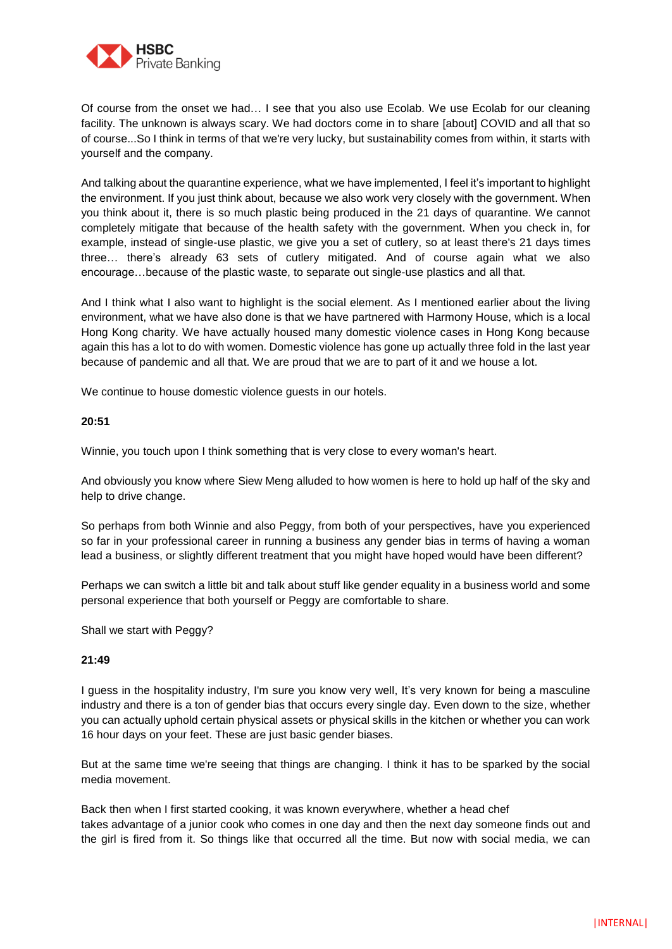

Of course from the onset we had… I see that you also use Ecolab. We use Ecolab for our cleaning facility. The unknown is always scary. We had doctors come in to share [about] COVID and all that so of course...So I think in terms of that we're very lucky, but sustainability comes from within, it starts with yourself and the company.

And talking about the quarantine experience, what we have implemented, I feel it's important to highlight the environment. If you just think about, because we also work very closely with the government. When you think about it, there is so much plastic being produced in the 21 days of quarantine. We cannot completely mitigate that because of the health safety with the government. When you check in, for example, instead of single-use plastic, we give you a set of cutlery, so at least there's 21 days times three… there's already 63 sets of cutlery mitigated. And of course again what we also encourage…because of the plastic waste, to separate out single-use plastics and all that.

And I think what I also want to highlight is the social element. As I mentioned earlier about the living environment, what we have also done is that we have partnered with Harmony House, which is a local Hong Kong charity. We have actually housed many domestic violence cases in Hong Kong because again this has a lot to do with women. Domestic violence has gone up actually three fold in the last year because of pandemic and all that. We are proud that we are to part of it and we house a lot.

We continue to house domestic violence guests in our hotels.

# **20:51**

Winnie, you touch upon I think something that is very close to every woman's heart.

And obviously you know where Siew Meng alluded to how women is here to hold up half of the sky and help to drive change.

So perhaps from both Winnie and also Peggy, from both of your perspectives, have you experienced so far in your professional career in running a business any gender bias in terms of having a woman lead a business, or slightly different treatment that you might have hoped would have been different?

Perhaps we can switch a little bit and talk about stuff like gender equality in a business world and some personal experience that both yourself or Peggy are comfortable to share.

Shall we start with Peggy?

# **21:49**

I guess in the hospitality industry, I'm sure you know very well, It's very known for being a masculine industry and there is a ton of gender bias that occurs every single day. Even down to the size, whether you can actually uphold certain physical assets or physical skills in the kitchen or whether you can work 16 hour days on your feet. These are just basic gender biases.

But at the same time we're seeing that things are changing. I think it has to be sparked by the social media movement.

Back then when I first started cooking, it was known everywhere, whether a head chef takes advantage of a junior cook who comes in one day and then the next day someone finds out and the girl is fired from it. So things like that occurred all the time. But now with social media, we can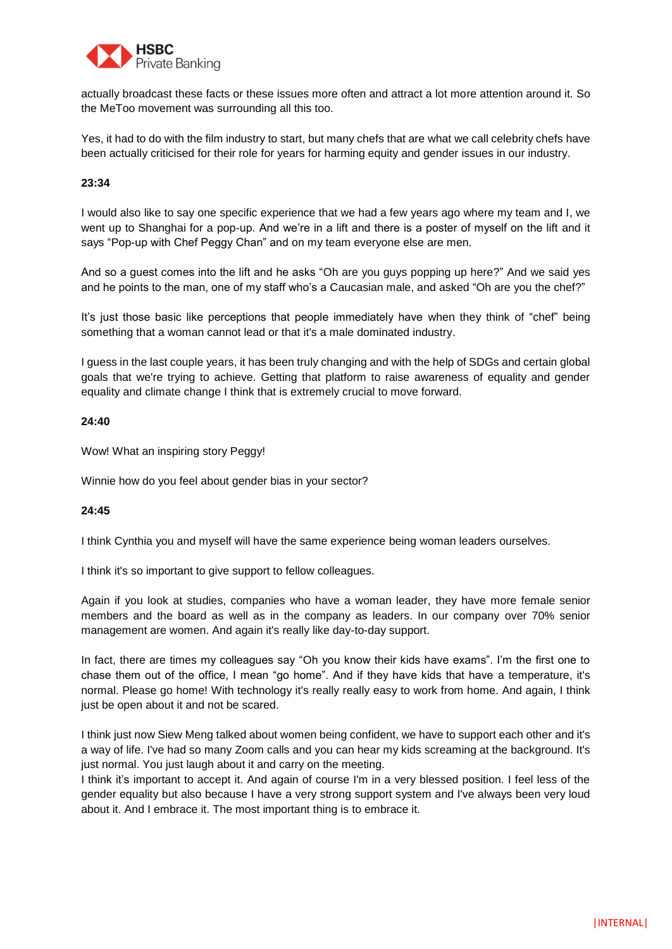

actually broadcast these facts or these issues more often and attract a lot more attention around it. So the MeToo movement was surrounding all this too.

Yes, it had to do with the film industry to start, but many chefs that are what we call celebrity chefs have been actually criticised for their role for years for harming equity and gender issues in our industry.

# **23:34**

I would also like to say one specific experience that we had a few years ago where my team and I, we went up to Shanghai for a pop-up. And we're in a lift and there is a poster of myself on the lift and it says "Pop-up with Chef Peggy Chan" and on my team everyone else are men.

And so a guest comes into the lift and he asks "Oh are you guys popping up here?" And we said yes and he points to the man, one of my staff who's a Caucasian male, and asked "Oh are you the chef?"

It's just those basic like perceptions that people immediately have when they think of "chef" being something that a woman cannot lead or that it's a male dominated industry.

I guess in the last couple years, it has been truly changing and with the help of SDGs and certain global goals that we're trying to achieve. Getting that platform to raise awareness of equality and gender equality and climate change I think that is extremely crucial to move forward.

#### **24:40**

Wow! What an inspiring story Peggy!

Winnie how do you feel about gender bias in your sector?

#### **24:45**

I think Cynthia you and myself will have the same experience being woman leaders ourselves.

I think it's so important to give support to fellow colleagues.

Again if you look at studies, companies who have a woman leader, they have more female senior members and the board as well as in the company as leaders. In our company over 70% senior management are women. And again it's really like day-to-day support.

In fact, there are times my colleagues say "Oh you know their kids have exams". I'm the first one to chase them out of the office, I mean "go home". And if they have kids that have a temperature, it's normal. Please go home! With technology it's really really easy to work from home. And again, I think just be open about it and not be scared.

I think just now Siew Meng talked about women being confident, we have to support each other and it's a way of life. I've had so many Zoom calls and you can hear my kids screaming at the background. It's just normal. You just laugh about it and carry on the meeting.

I think it's important to accept it. And again of course I'm in a very blessed position. I feel less of the gender equality but also because I have a very strong support system and I've always been very loud about it. And I embrace it. The most important thing is to embrace it.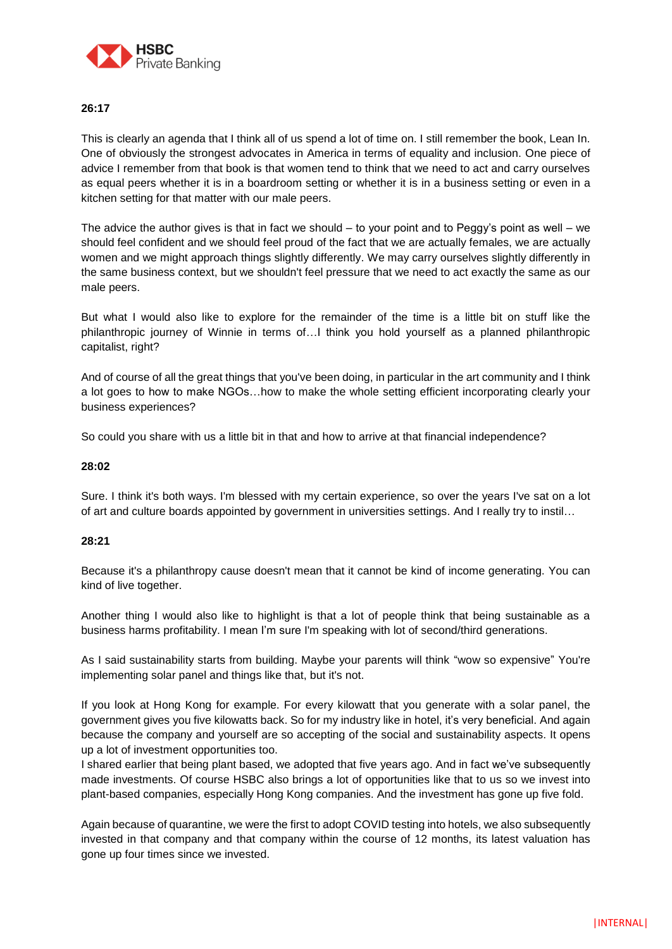

# **26:17**

This is clearly an agenda that I think all of us spend a lot of time on. I still remember the book, Lean In. One of obviously the strongest advocates in America in terms of equality and inclusion. One piece of advice I remember from that book is that women tend to think that we need to act and carry ourselves as equal peers whether it is in a boardroom setting or whether it is in a business setting or even in a kitchen setting for that matter with our male peers.

The advice the author gives is that in fact we should  $-$  to your point and to Peggy's point as well  $-$  we should feel confident and we should feel proud of the fact that we are actually females, we are actually women and we might approach things slightly differently. We may carry ourselves slightly differently in the same business context, but we shouldn't feel pressure that we need to act exactly the same as our male peers.

But what I would also like to explore for the remainder of the time is a little bit on stuff like the philanthropic journey of Winnie in terms of…I think you hold yourself as a planned philanthropic capitalist, right?

And of course of all the great things that you've been doing, in particular in the art community and I think a lot goes to how to make NGOs…how to make the whole setting efficient incorporating clearly your business experiences?

So could you share with us a little bit in that and how to arrive at that financial independence?

#### **28:02**

Sure. I think it's both ways. I'm blessed with my certain experience, so over the years I've sat on a lot of art and culture boards appointed by government in universities settings. And I really try to instil…

#### **28:21**

Because it's a philanthropy cause doesn't mean that it cannot be kind of income generating. You can kind of live together.

Another thing I would also like to highlight is that a lot of people think that being sustainable as a business harms profitability. I mean I'm sure I'm speaking with lot of second/third generations.

As I said sustainability starts from building. Maybe your parents will think "wow so expensive" You're implementing solar panel and things like that, but it's not.

If you look at Hong Kong for example. For every kilowatt that you generate with a solar panel, the government gives you five kilowatts back. So for my industry like in hotel, it's very beneficial. And again because the company and yourself are so accepting of the social and sustainability aspects. It opens up a lot of investment opportunities too.

I shared earlier that being plant based, we adopted that five years ago. And in fact we've subsequently made investments. Of course HSBC also brings a lot of opportunities like that to us so we invest into plant-based companies, especially Hong Kong companies. And the investment has gone up five fold.

Again because of quarantine, we were the first to adopt COVID testing into hotels, we also subsequently invested in that company and that company within the course of 12 months, its latest valuation has gone up four times since we invested.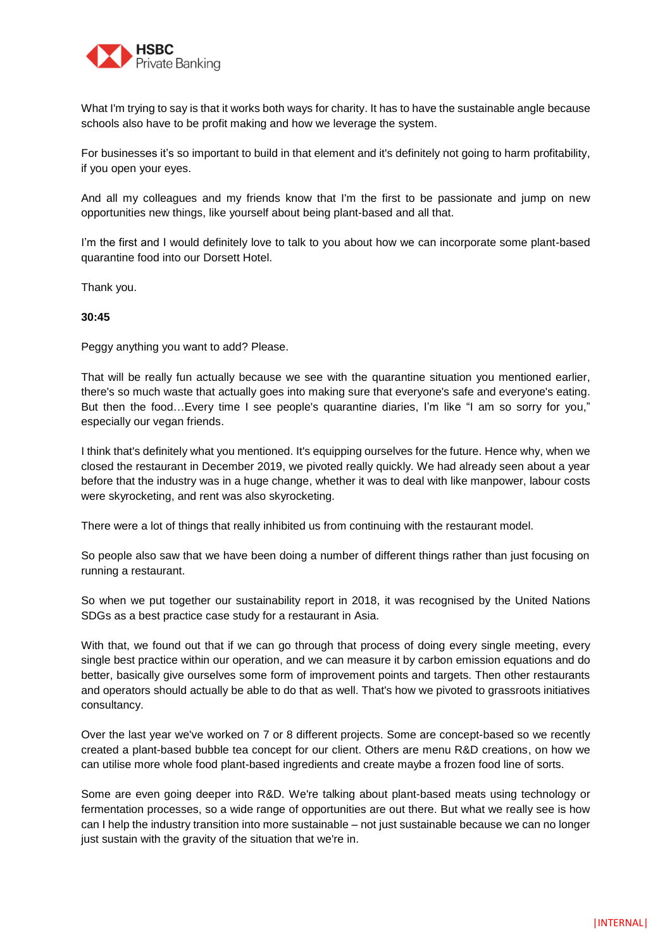

What I'm trying to say is that it works both ways for charity. It has to have the sustainable angle because schools also have to be profit making and how we leverage the system.

For businesses it's so important to build in that element and it's definitely not going to harm profitability, if you open your eyes.

And all my colleagues and my friends know that I'm the first to be passionate and jump on new opportunities new things, like yourself about being plant-based and all that.

I'm the first and I would definitely love to talk to you about how we can incorporate some plant-based quarantine food into our Dorsett Hotel.

Thank you.

# **30:45**

Peggy anything you want to add? Please.

That will be really fun actually because we see with the quarantine situation you mentioned earlier, there's so much waste that actually goes into making sure that everyone's safe and everyone's eating. But then the food…Every time I see people's quarantine diaries, I'm like "I am so sorry for you," especially our vegan friends.

I think that's definitely what you mentioned. It's equipping ourselves for the future. Hence why, when we closed the restaurant in December 2019, we pivoted really quickly. We had already seen about a year before that the industry was in a huge change, whether it was to deal with like manpower, labour costs were skyrocketing, and rent was also skyrocketing.

There were a lot of things that really inhibited us from continuing with the restaurant model.

So people also saw that we have been doing a number of different things rather than just focusing on running a restaurant.

So when we put together our sustainability report in 2018, it was recognised by the United Nations SDGs as a best practice case study for a restaurant in Asia.

With that, we found out that if we can go through that process of doing every single meeting, every single best practice within our operation, and we can measure it by carbon emission equations and do better, basically give ourselves some form of improvement points and targets. Then other restaurants and operators should actually be able to do that as well. That's how we pivoted to grassroots initiatives consultancy.

Over the last year we've worked on 7 or 8 different projects. Some are concept-based so we recently created a plant-based bubble tea concept for our client. Others are menu R&D creations, on how we can utilise more whole food plant-based ingredients and create maybe a frozen food line of sorts.

Some are even going deeper into R&D. We're talking about plant-based meats using technology or fermentation processes, so a wide range of opportunities are out there. But what we really see is how can I help the industry transition into more sustainable – not just sustainable because we can no longer just sustain with the gravity of the situation that we're in.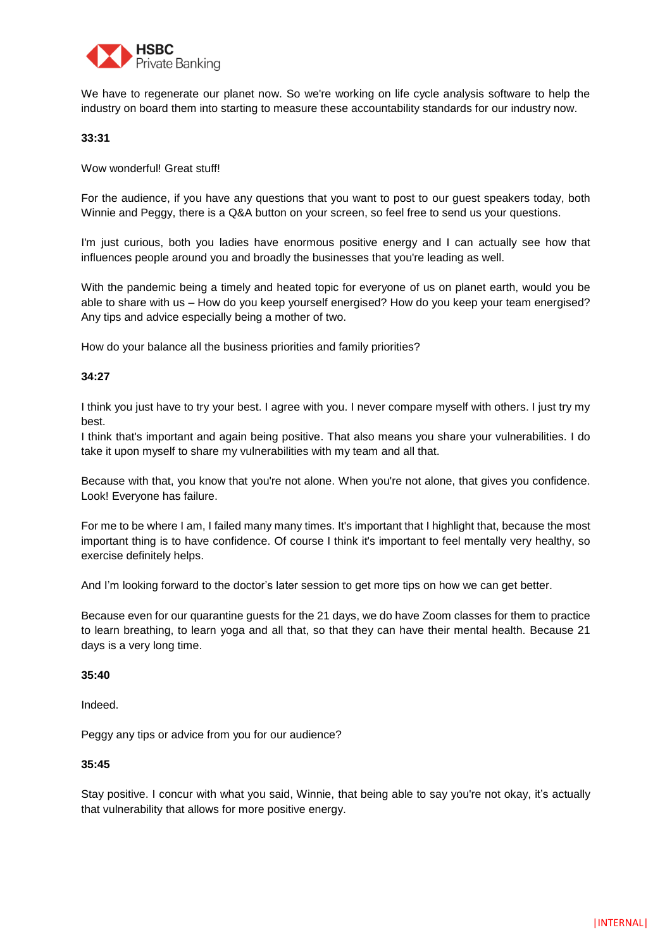

We have to regenerate our planet now. So we're working on life cycle analysis software to help the industry on board them into starting to measure these accountability standards for our industry now.

# **33:31**

Wow wonderful! Great stuff!

For the audience, if you have any questions that you want to post to our guest speakers today, both Winnie and Peggy, there is a Q&A button on your screen, so feel free to send us your questions.

I'm just curious, both you ladies have enormous positive energy and I can actually see how that influences people around you and broadly the businesses that you're leading as well.

With the pandemic being a timely and heated topic for everyone of us on planet earth, would you be able to share with us – How do you keep yourself energised? How do you keep your team energised? Any tips and advice especially being a mother of two.

How do your balance all the business priorities and family priorities?

# **34:27**

I think you just have to try your best. I agree with you. I never compare myself with others. I just try my best.

I think that's important and again being positive. That also means you share your vulnerabilities. I do take it upon myself to share my vulnerabilities with my team and all that.

Because with that, you know that you're not alone. When you're not alone, that gives you confidence. Look! Everyone has failure.

For me to be where I am, I failed many many times. It's important that I highlight that, because the most important thing is to have confidence. Of course I think it's important to feel mentally very healthy, so exercise definitely helps.

And I'm looking forward to the doctor's later session to get more tips on how we can get better.

Because even for our quarantine guests for the 21 days, we do have Zoom classes for them to practice to learn breathing, to learn yoga and all that, so that they can have their mental health. Because 21 days is a very long time.

# **35:40**

Indeed.

Peggy any tips or advice from you for our audience?

# **35:45**

Stay positive. I concur with what you said, Winnie, that being able to say you're not okay, it's actually that vulnerability that allows for more positive energy.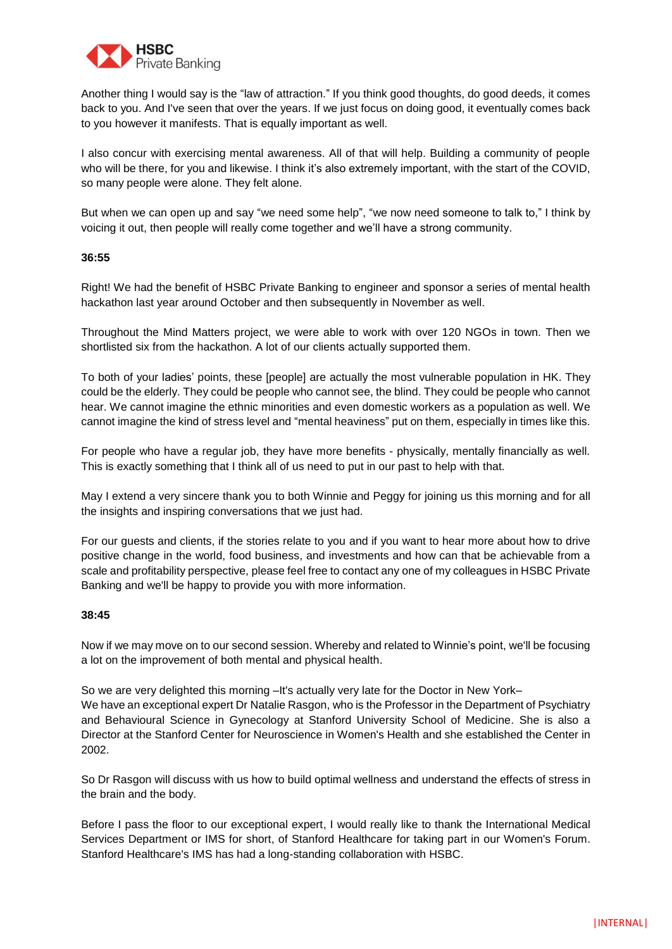

Another thing I would say is the "law of attraction." If you think good thoughts, do good deeds, it comes back to you. And I've seen that over the years. If we just focus on doing good, it eventually comes back to you however it manifests. That is equally important as well.

I also concur with exercising mental awareness. All of that will help. Building a community of people who will be there, for you and likewise. I think it's also extremely important, with the start of the COVID, so many people were alone. They felt alone.

But when we can open up and say "we need some help", "we now need someone to talk to," I think by voicing it out, then people will really come together and we'll have a strong community.

# **36:55**

Right! We had the benefit of HSBC Private Banking to engineer and sponsor a series of mental health hackathon last year around October and then subsequently in November as well.

Throughout the Mind Matters project, we were able to work with over 120 NGOs in town. Then we shortlisted six from the hackathon. A lot of our clients actually supported them.

To both of your ladies' points, these [people] are actually the most vulnerable population in HK. They could be the elderly. They could be people who cannot see, the blind. They could be people who cannot hear. We cannot imagine the ethnic minorities and even domestic workers as a population as well. We cannot imagine the kind of stress level and "mental heaviness" put on them, especially in times like this.

For people who have a regular job, they have more benefits - physically, mentally financially as well. This is exactly something that I think all of us need to put in our past to help with that.

May I extend a very sincere thank you to both Winnie and Peggy for joining us this morning and for all the insights and inspiring conversations that we just had.

For our guests and clients, if the stories relate to you and if you want to hear more about how to drive positive change in the world, food business, and investments and how can that be achievable from a scale and profitability perspective, please feel free to contact any one of my colleagues in HSBC Private Banking and we'll be happy to provide you with more information.

# **38:45**

Now if we may move on to our second session. Whereby and related to Winnie's point, we'll be focusing a lot on the improvement of both mental and physical health.

So we are very delighted this morning –It's actually very late for the Doctor in New York– We have an exceptional expert Dr Natalie Rasgon, who is the Professor in the Department of Psychiatry and Behavioural Science in Gynecology at Stanford University School of Medicine. She is also a Director at the Stanford Center for Neuroscience in Women's Health and she established the Center in 2002.

So Dr Rasgon will discuss with us how to build optimal wellness and understand the effects of stress in the brain and the body.

Before I pass the floor to our exceptional expert, I would really like to thank the International Medical Services Department or IMS for short, of Stanford Healthcare for taking part in our Women's Forum. Stanford Healthcare's IMS has had a long-standing collaboration with HSBC.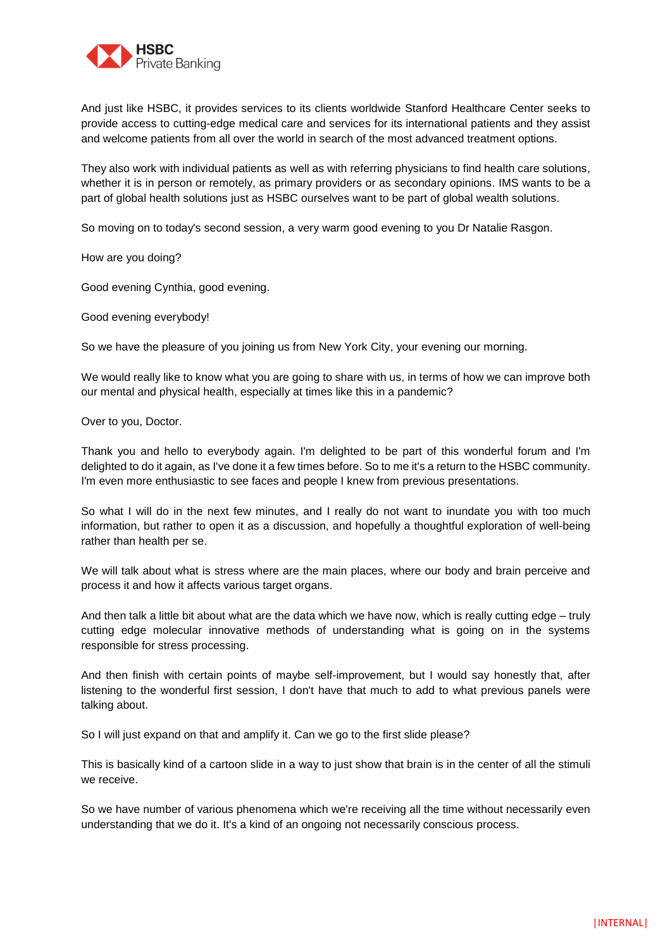

And just like HSBC, it provides services to its clients worldwide Stanford Healthcare Center seeks to provide access to cutting-edge medical care and services for its international patients and they assist and welcome patients from all over the world in search of the most advanced treatment options.

They also work with individual patients as well as with referring physicians to find health care solutions, whether it is in person or remotely, as primary providers or as secondary opinions. IMS wants to be a part of global health solutions just as HSBC ourselves want to be part of global wealth solutions.

So moving on to today's second session, a very warm good evening to you Dr Natalie Rasgon.

How are you doing?

Good evening Cynthia, good evening.

Good evening everybody!

So we have the pleasure of you joining us from New York City, your evening our morning.

We would really like to know what you are going to share with us, in terms of how we can improve both our mental and physical health, especially at times like this in a pandemic?

Over to you, Doctor.

Thank you and hello to everybody again. I'm delighted to be part of this wonderful forum and I'm delighted to do it again, as I've done it a few times before. So to me it's a return to the HSBC community. I'm even more enthusiastic to see faces and people I knew from previous presentations.

So what I will do in the next few minutes, and I really do not want to inundate you with too much information, but rather to open it as a discussion, and hopefully a thoughtful exploration of well-being rather than health per se.

We will talk about what is stress where are the main places, where our body and brain perceive and process it and how it affects various target organs.

And then talk a little bit about what are the data which we have now, which is really cutting edge – truly cutting edge molecular innovative methods of understanding what is going on in the systems responsible for stress processing.

And then finish with certain points of maybe self-improvement, but I would say honestly that, after listening to the wonderful first session, I don't have that much to add to what previous panels were talking about.

So I will just expand on that and amplify it. Can we go to the first slide please?

This is basically kind of a cartoon slide in a way to just show that brain is in the center of all the stimuli we receive.

So we have number of various phenomena which we're receiving all the time without necessarily even understanding that we do it. It's a kind of an ongoing not necessarily conscious process.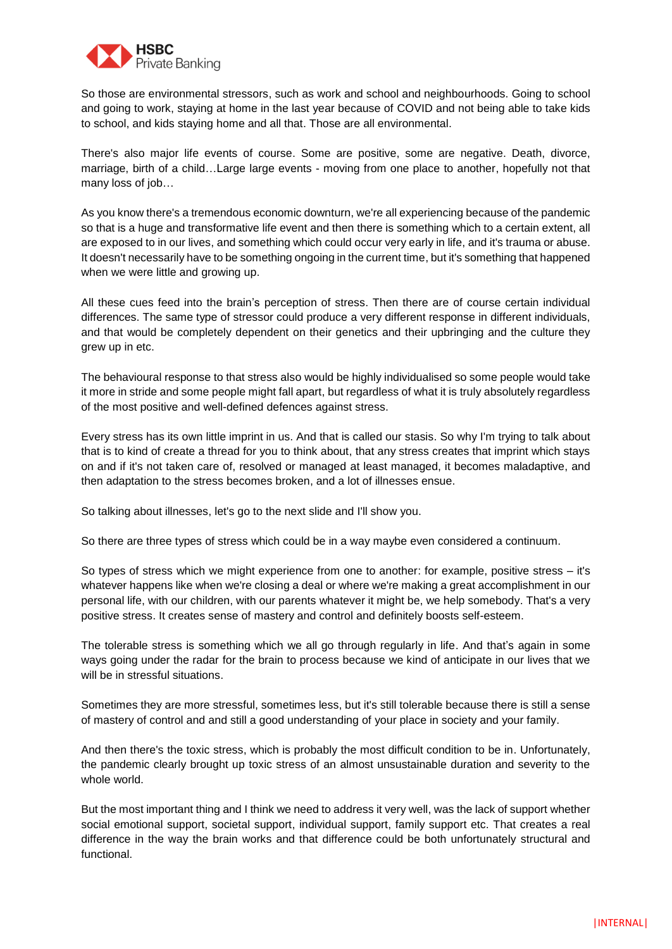

So those are environmental stressors, such as work and school and neighbourhoods. Going to school and going to work, staying at home in the last year because of COVID and not being able to take kids to school, and kids staying home and all that. Those are all environmental.

There's also major life events of course. Some are positive, some are negative. Death, divorce, marriage, birth of a child…Large large events - moving from one place to another, hopefully not that many loss of job…

As you know there's a tremendous economic downturn, we're all experiencing because of the pandemic so that is a huge and transformative life event and then there is something which to a certain extent, all are exposed to in our lives, and something which could occur very early in life, and it's trauma or abuse. It doesn't necessarily have to be something ongoing in the current time, but it's something that happened when we were little and growing up.

All these cues feed into the brain's perception of stress. Then there are of course certain individual differences. The same type of stressor could produce a very different response in different individuals, and that would be completely dependent on their genetics and their upbringing and the culture they grew up in etc.

The behavioural response to that stress also would be highly individualised so some people would take it more in stride and some people might fall apart, but regardless of what it is truly absolutely regardless of the most positive and well-defined defences against stress.

Every stress has its own little imprint in us. And that is called our stasis. So why I'm trying to talk about that is to kind of create a thread for you to think about, that any stress creates that imprint which stays on and if it's not taken care of, resolved or managed at least managed, it becomes maladaptive, and then adaptation to the stress becomes broken, and a lot of illnesses ensue.

So talking about illnesses, let's go to the next slide and I'll show you.

So there are three types of stress which could be in a way maybe even considered a continuum.

So types of stress which we might experience from one to another: for example, positive stress – it's whatever happens like when we're closing a deal or where we're making a great accomplishment in our personal life, with our children, with our parents whatever it might be, we help somebody. That's a very positive stress. It creates sense of mastery and control and definitely boosts self-esteem.

The tolerable stress is something which we all go through regularly in life. And that's again in some ways going under the radar for the brain to process because we kind of anticipate in our lives that we will be in stressful situations.

Sometimes they are more stressful, sometimes less, but it's still tolerable because there is still a sense of mastery of control and and still a good understanding of your place in society and your family.

And then there's the toxic stress, which is probably the most difficult condition to be in. Unfortunately, the pandemic clearly brought up toxic stress of an almost unsustainable duration and severity to the whole world.

But the most important thing and I think we need to address it very well, was the lack of support whether social emotional support, societal support, individual support, family support etc. That creates a real difference in the way the brain works and that difference could be both unfortunately structural and functional.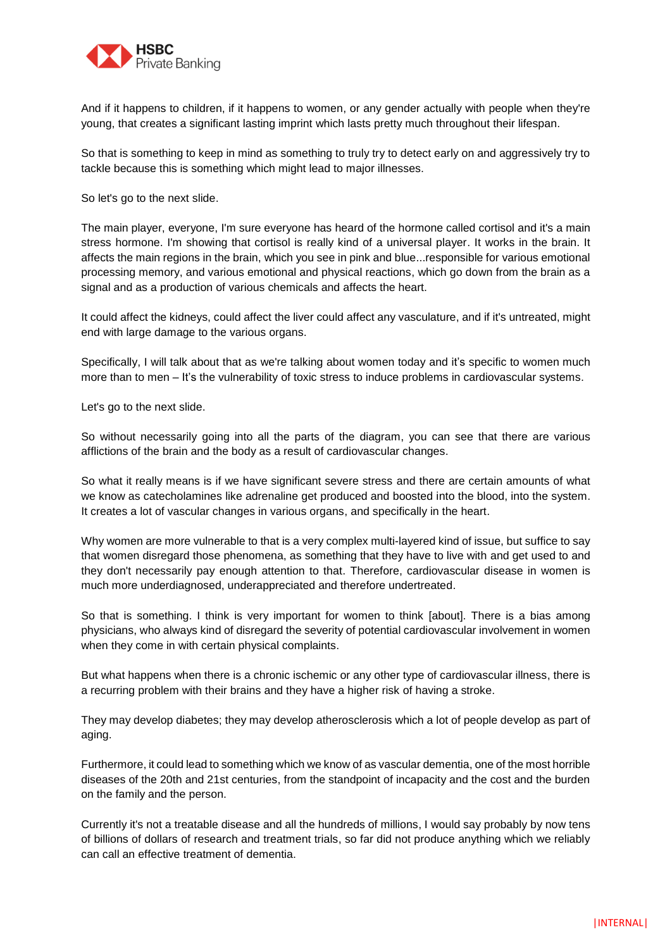

And if it happens to children, if it happens to women, or any gender actually with people when they're young, that creates a significant lasting imprint which lasts pretty much throughout their lifespan.

So that is something to keep in mind as something to truly try to detect early on and aggressively try to tackle because this is something which might lead to major illnesses.

So let's go to the next slide.

The main player, everyone, I'm sure everyone has heard of the hormone called cortisol and it's a main stress hormone. I'm showing that cortisol is really kind of a universal player. It works in the brain. It affects the main regions in the brain, which you see in pink and blue...responsible for various emotional processing memory, and various emotional and physical reactions, which go down from the brain as a signal and as a production of various chemicals and affects the heart.

It could affect the kidneys, could affect the liver could affect any vasculature, and if it's untreated, might end with large damage to the various organs.

Specifically, I will talk about that as we're talking about women today and it's specific to women much more than to men – It's the vulnerability of toxic stress to induce problems in cardiovascular systems.

Let's go to the next slide.

So without necessarily going into all the parts of the diagram, you can see that there are various afflictions of the brain and the body as a result of cardiovascular changes.

So what it really means is if we have significant severe stress and there are certain amounts of what we know as catecholamines like adrenaline get produced and boosted into the blood, into the system. It creates a lot of vascular changes in various organs, and specifically in the heart.

Why women are more vulnerable to that is a very complex multi-layered kind of issue, but suffice to say that women disregard those phenomena, as something that they have to live with and get used to and they don't necessarily pay enough attention to that. Therefore, cardiovascular disease in women is much more underdiagnosed, underappreciated and therefore undertreated.

So that is something. I think is very important for women to think [about]. There is a bias among physicians, who always kind of disregard the severity of potential cardiovascular involvement in women when they come in with certain physical complaints.

But what happens when there is a chronic ischemic or any other type of cardiovascular illness, there is a recurring problem with their brains and they have a higher risk of having a stroke.

They may develop diabetes; they may develop atherosclerosis which a lot of people develop as part of aging.

Furthermore, it could lead to something which we know of as vascular dementia, one of the most horrible diseases of the 20th and 21st centuries, from the standpoint of incapacity and the cost and the burden on the family and the person.

Currently it's not a treatable disease and all the hundreds of millions, I would say probably by now tens of billions of dollars of research and treatment trials, so far did not produce anything which we reliably can call an effective treatment of dementia.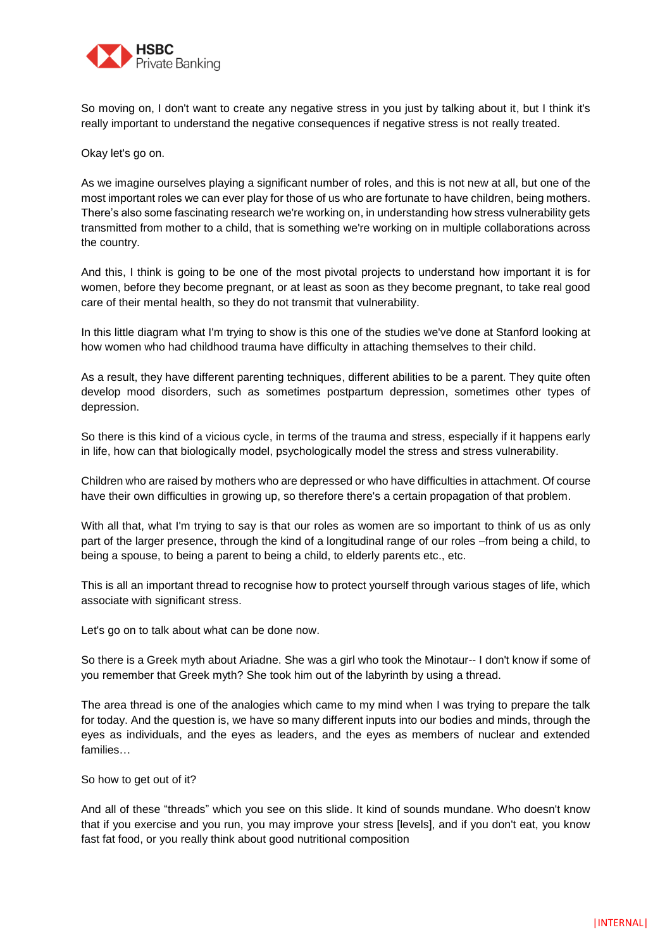

So moving on, I don't want to create any negative stress in you just by talking about it, but I think it's really important to understand the negative consequences if negative stress is not really treated.

Okay let's go on.

As we imagine ourselves playing a significant number of roles, and this is not new at all, but one of the most important roles we can ever play for those of us who are fortunate to have children, being mothers. There's also some fascinating research we're working on, in understanding how stress vulnerability gets transmitted from mother to a child, that is something we're working on in multiple collaborations across the country.

And this, I think is going to be one of the most pivotal projects to understand how important it is for women, before they become pregnant, or at least as soon as they become pregnant, to take real good care of their mental health, so they do not transmit that vulnerability.

In this little diagram what I'm trying to show is this one of the studies we've done at Stanford looking at how women who had childhood trauma have difficulty in attaching themselves to their child.

As a result, they have different parenting techniques, different abilities to be a parent. They quite often develop mood disorders, such as sometimes postpartum depression, sometimes other types of depression.

So there is this kind of a vicious cycle, in terms of the trauma and stress, especially if it happens early in life, how can that biologically model, psychologically model the stress and stress vulnerability.

Children who are raised by mothers who are depressed or who have difficulties in attachment. Of course have their own difficulties in growing up, so therefore there's a certain propagation of that problem.

With all that, what I'm trying to say is that our roles as women are so important to think of us as only part of the larger presence, through the kind of a longitudinal range of our roles –from being a child, to being a spouse, to being a parent to being a child, to elderly parents etc., etc.

This is all an important thread to recognise how to protect yourself through various stages of life, which associate with significant stress.

Let's go on to talk about what can be done now.

So there is a Greek myth about Ariadne. She was a girl who took the Minotaur-- I don't know if some of you remember that Greek myth? She took him out of the labyrinth by using a thread.

The area thread is one of the analogies which came to my mind when I was trying to prepare the talk for today. And the question is, we have so many different inputs into our bodies and minds, through the eyes as individuals, and the eyes as leaders, and the eyes as members of nuclear and extended families…

So how to get out of it?

And all of these "threads" which you see on this slide. It kind of sounds mundane. Who doesn't know that if you exercise and you run, you may improve your stress [levels], and if you don't eat, you know fast fat food, or you really think about good nutritional composition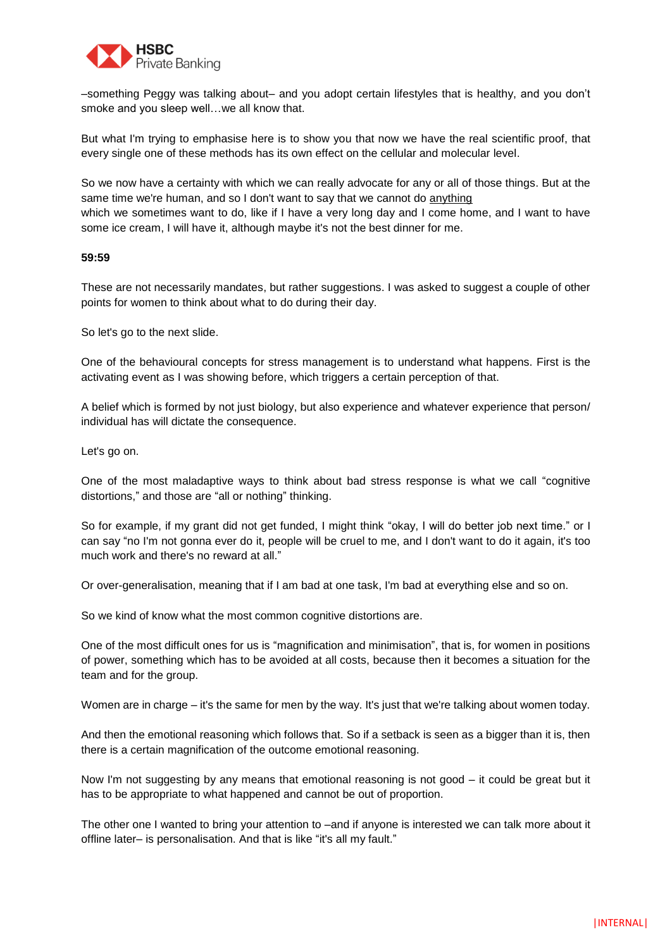

–something Peggy was talking about– and you adopt certain lifestyles that is healthy, and you don't smoke and you sleep well…we all know that.

But what I'm trying to emphasise here is to show you that now we have the real scientific proof, that every single one of these methods has its own effect on the cellular and molecular level.

So we now have a certainty with which we can really advocate for any or all of those things. But at the same time we're human, and so I don't want to say that we cannot do anything which we sometimes want to do, like if I have a very long day and I come home, and I want to have some ice cream, I will have it, although maybe it's not the best dinner for me.

#### **59:59**

These are not necessarily mandates, but rather suggestions. I was asked to suggest a couple of other points for women to think about what to do during their day.

So let's go to the next slide.

One of the behavioural concepts for stress management is to understand what happens. First is the activating event as I was showing before, which triggers a certain perception of that.

A belief which is formed by not just biology, but also experience and whatever experience that person/ individual has will dictate the consequence.

Let's go on.

One of the most maladaptive ways to think about bad stress response is what we call "cognitive distortions," and those are "all or nothing" thinking.

So for example, if my grant did not get funded, I might think "okay, I will do better job next time." or I can say "no I'm not gonna ever do it, people will be cruel to me, and I don't want to do it again, it's too much work and there's no reward at all."

Or over-generalisation, meaning that if I am bad at one task, I'm bad at everything else and so on.

So we kind of know what the most common cognitive distortions are.

One of the most difficult ones for us is "magnification and minimisation", that is, for women in positions of power, something which has to be avoided at all costs, because then it becomes a situation for the team and for the group.

Women are in charge – it's the same for men by the way. It's just that we're talking about women today.

And then the emotional reasoning which follows that. So if a setback is seen as a bigger than it is, then there is a certain magnification of the outcome emotional reasoning.

Now I'm not suggesting by any means that emotional reasoning is not good – it could be great but it has to be appropriate to what happened and cannot be out of proportion.

The other one I wanted to bring your attention to –and if anyone is interested we can talk more about it offline later– is personalisation. And that is like "it's all my fault."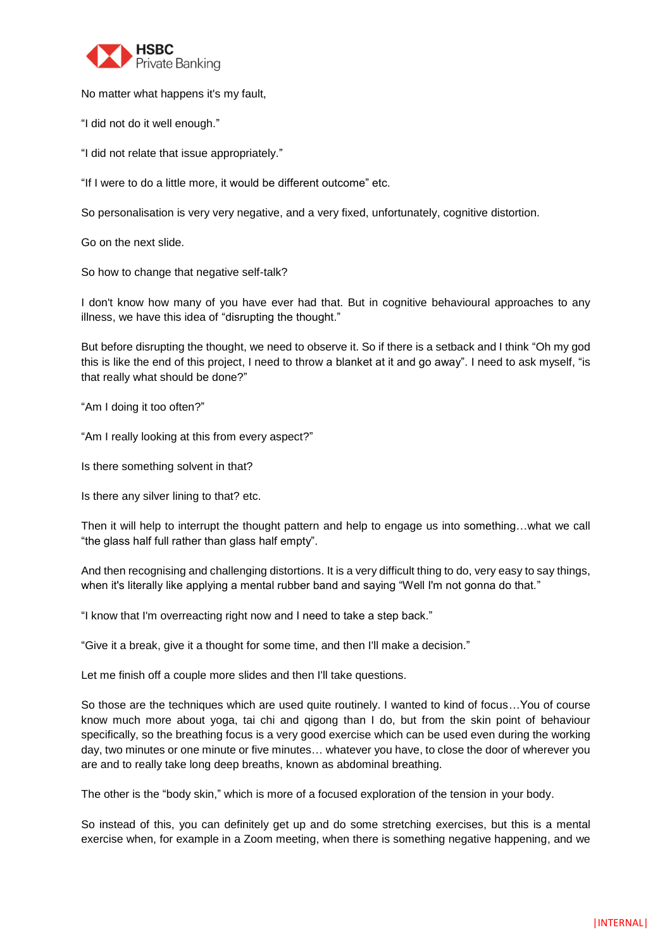

No matter what happens it's my fault,

"I did not do it well enough."

"I did not relate that issue appropriately."

"If I were to do a little more, it would be different outcome" etc.

So personalisation is very very negative, and a very fixed, unfortunately, cognitive distortion.

Go on the next slide.

So how to change that negative self-talk?

I don't know how many of you have ever had that. But in cognitive behavioural approaches to any illness, we have this idea of "disrupting the thought."

But before disrupting the thought, we need to observe it. So if there is a setback and I think "Oh my god this is like the end of this project, I need to throw a blanket at it and go away". I need to ask myself, "is that really what should be done?"

"Am I doing it too often?"

"Am I really looking at this from every aspect?"

Is there something solvent in that?

Is there any silver lining to that? etc.

Then it will help to interrupt the thought pattern and help to engage us into something…what we call "the glass half full rather than glass half empty".

And then recognising and challenging distortions. It is a very difficult thing to do, very easy to say things, when it's literally like applying a mental rubber band and saying "Well I'm not gonna do that."

"I know that I'm overreacting right now and I need to take a step back."

"Give it a break, give it a thought for some time, and then I'll make a decision."

Let me finish off a couple more slides and then I'll take questions.

So those are the techniques which are used quite routinely. I wanted to kind of focus…You of course know much more about yoga, tai chi and qigong than I do, but from the skin point of behaviour specifically, so the breathing focus is a very good exercise which can be used even during the working day, two minutes or one minute or five minutes… whatever you have, to close the door of wherever you are and to really take long deep breaths, known as abdominal breathing.

The other is the "body skin," which is more of a focused exploration of the tension in your body.

So instead of this, you can definitely get up and do some stretching exercises, but this is a mental exercise when, for example in a Zoom meeting, when there is something negative happening, and we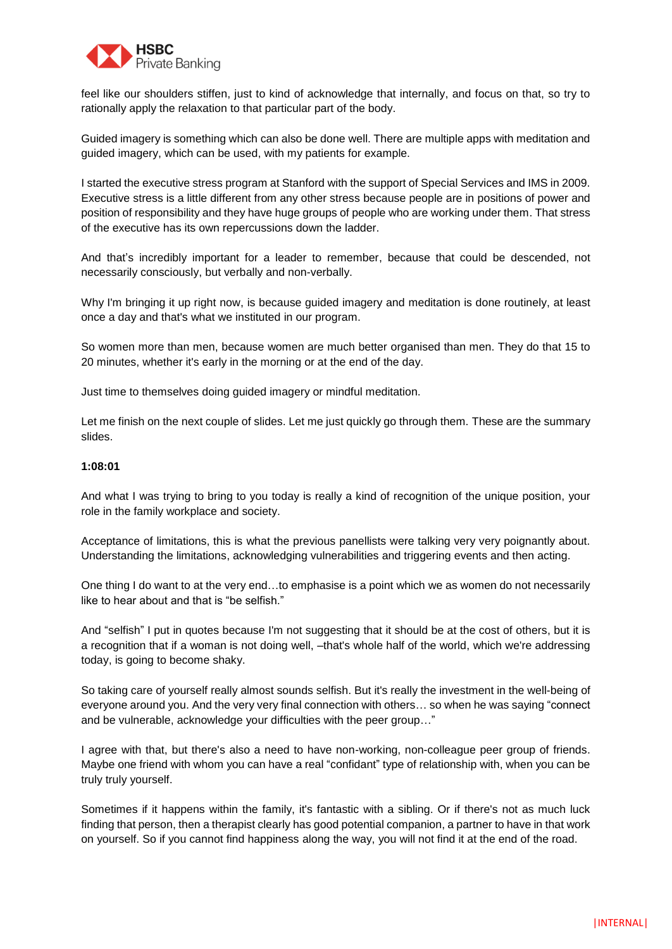

feel like our shoulders stiffen, just to kind of acknowledge that internally, and focus on that, so try to rationally apply the relaxation to that particular part of the body.

Guided imagery is something which can also be done well. There are multiple apps with meditation and guided imagery, which can be used, with my patients for example.

I started the executive stress program at Stanford with the support of Special Services and IMS in 2009. Executive stress is a little different from any other stress because people are in positions of power and position of responsibility and they have huge groups of people who are working under them. That stress of the executive has its own repercussions down the ladder.

And that's incredibly important for a leader to remember, because that could be descended, not necessarily consciously, but verbally and non-verbally.

Why I'm bringing it up right now, is because guided imagery and meditation is done routinely, at least once a day and that's what we instituted in our program.

So women more than men, because women are much better organised than men. They do that 15 to 20 minutes, whether it's early in the morning or at the end of the day.

Just time to themselves doing guided imagery or mindful meditation.

Let me finish on the next couple of slides. Let me just quickly go through them. These are the summary slides.

# **1:08:01**

And what I was trying to bring to you today is really a kind of recognition of the unique position, your role in the family workplace and society.

Acceptance of limitations, this is what the previous panellists were talking very very poignantly about. Understanding the limitations, acknowledging vulnerabilities and triggering events and then acting.

One thing I do want to at the very end...to emphasise is a point which we as women do not necessarily like to hear about and that is "be selfish."

And "selfish" I put in quotes because I'm not suggesting that it should be at the cost of others, but it is a recognition that if a woman is not doing well, –that's whole half of the world, which we're addressing today, is going to become shaky.

So taking care of yourself really almost sounds selfish. But it's really the investment in the well-being of everyone around you. And the very very final connection with others… so when he was saying "connect and be vulnerable, acknowledge your difficulties with the peer group…"

I agree with that, but there's also a need to have non-working, non-colleague peer group of friends. Maybe one friend with whom you can have a real "confidant" type of relationship with, when you can be truly truly yourself.

Sometimes if it happens within the family, it's fantastic with a sibling. Or if there's not as much luck finding that person, then a therapist clearly has good potential companion, a partner to have in that work on yourself. So if you cannot find happiness along the way, you will not find it at the end of the road.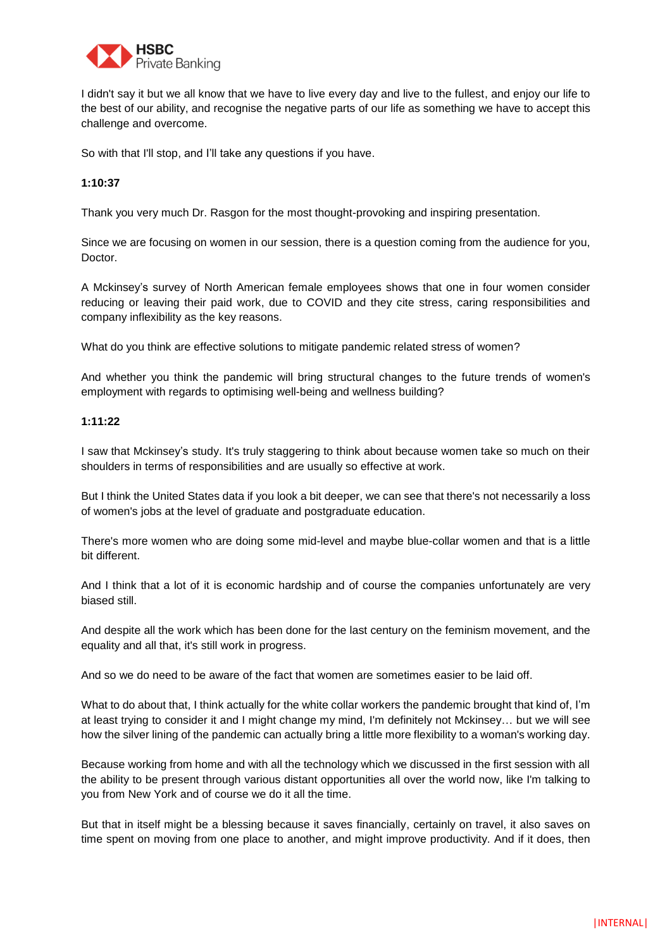

I didn't say it but we all know that we have to live every day and live to the fullest, and enjoy our life to the best of our ability, and recognise the negative parts of our life as something we have to accept this challenge and overcome.

So with that I'll stop, and I'll take any questions if you have.

# **1:10:37**

Thank you very much Dr. Rasgon for the most thought-provoking and inspiring presentation.

Since we are focusing on women in our session, there is a question coming from the audience for you, Doctor.

A Mckinsey's survey of North American female employees shows that one in four women consider reducing or leaving their paid work, due to COVID and they cite stress, caring responsibilities and company inflexibility as the key reasons.

What do you think are effective solutions to mitigate pandemic related stress of women?

And whether you think the pandemic will bring structural changes to the future trends of women's employment with regards to optimising well-being and wellness building?

# **1:11:22**

I saw that Mckinsey's study. It's truly staggering to think about because women take so much on their shoulders in terms of responsibilities and are usually so effective at work.

But I think the United States data if you look a bit deeper, we can see that there's not necessarily a loss of women's jobs at the level of graduate and postgraduate education.

There's more women who are doing some mid-level and maybe blue-collar women and that is a little bit different.

And I think that a lot of it is economic hardship and of course the companies unfortunately are very biased still.

And despite all the work which has been done for the last century on the feminism movement, and the equality and all that, it's still work in progress.

And so we do need to be aware of the fact that women are sometimes easier to be laid off.

What to do about that, I think actually for the white collar workers the pandemic brought that kind of, I'm at least trying to consider it and I might change my mind, I'm definitely not Mckinsey… but we will see how the silver lining of the pandemic can actually bring a little more flexibility to a woman's working day.

Because working from home and with all the technology which we discussed in the first session with all the ability to be present through various distant opportunities all over the world now, like I'm talking to you from New York and of course we do it all the time.

But that in itself might be a blessing because it saves financially, certainly on travel, it also saves on time spent on moving from one place to another, and might improve productivity. And if it does, then